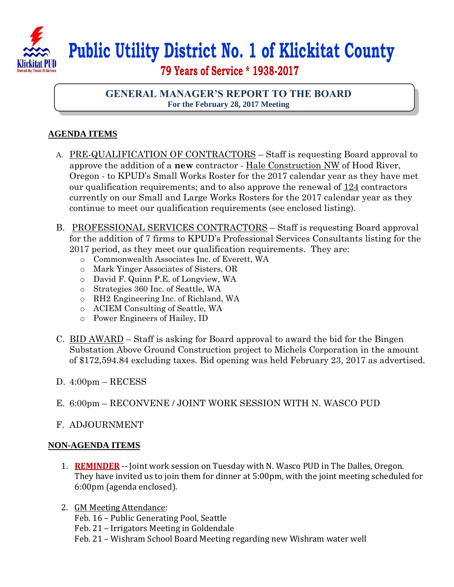

## **Public Utility District No. 1 of Klickitat County**

 **79 Years of Service \* 1938-2017**

## **GENERAL MANAGER'S REPORT TO THE BOARD For the February 28, 2017 Meeting**

## **AGENDA ITEMS**

- A. PRE-QUALIFICATION OF CONTRACTORS Staff is requesting Board approval to approve the addition of a **new** contractor - Hale Construction NW of Hood River, Oregon - to KPUD's Small Works Roster for the 2017 calendar year as they have met our qualification requirements; and to also approve the renewal of 124 contractors currently on our Small and Large Works Rosters for the 2017 calendar year as they continue to meet our qualification requirements (see enclosed listing).
- B. PROFESSIONAL SERVICES CONTRACTORS Staff is requesting Board approval for the addition of 7 firms to KPUD's Professional Services Consultants listing for the 2017 period, as they meet our qualification requirements. They are:
	- o Commonwealth Associates Inc. of Everett, WA
	- o Mark Yinger Associates of Sisters, OR
	- o David F. Quinn P.E. of Longview, WA
	- o Strategies 360 Inc. of Seattle, WA
	- o RH2 Engineering Inc. of Richland, WA
	- o ACIEM Consulting of Seattle, WA
	- o Power Engineers of Hailey, ID
- C. BID AWARD Staff is asking for Board approval to award the bid for the Bingen Substation Above Ground Construction project to Michels Corporation in the amount of \$172,594.84 excluding taxes. Bid opening was held February 23, 2017 as advertised.
- D. 4:00pm RECESS
- E. 6:00pm RECONVENE / JOINT WORK SESSION WITH N. WASCO PUD
- F. ADJOURNMENT

## **NON-AGENDA ITEMS**

- 1. **REMINDER** -- Joint work session on Tuesday with N. Wasco PUD in The Dalles, Oregon. They have invited us to join them for dinner at 5:00pm, with the joint meeting scheduled for 6:00pm (agenda enclosed).
- 2. GM Meeting Attendance:
	- Feb. 16 Public Generating Pool, Seattle
	- Feb. 21 Irrigators Meeting in Goldendale
	- Feb. 21 Wishram School Board Meeting regarding new Wishram water well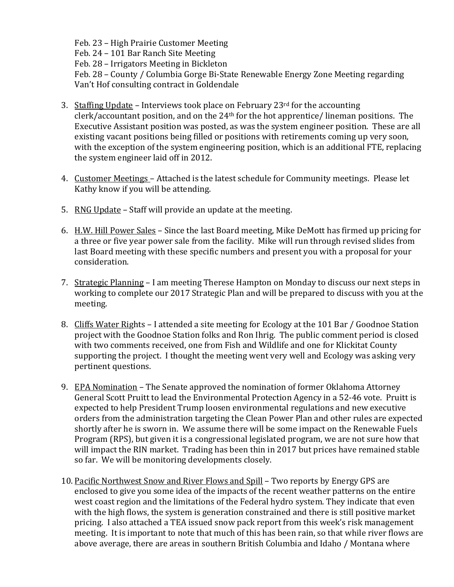Feb. 23 – High Prairie Customer Meeting Feb. 24 – 101 Bar Ranch Site Meeting Feb. 28 – Irrigators Meeting in Bickleton Feb. 28 – County / Columbia Gorge Bi-State Renewable Energy Zone Meeting regarding Van't Hof consulting contract in Goldendale

- 3. Staffing Update Interviews took place on February 23 $rd$  for the accounting clerk/accountant position, and on the 24th for the hot apprentice/ lineman positions. The Executive Assistant position was posted, as was the system engineer position. These are all existing vacant positions being filled or positions with retirements coming up very soon, with the exception of the system engineering position, which is an additional FTE, replacing the system engineer laid off in 2012.
- 4. Customer Meetings Attached is the latest schedule for Community meetings. Please let Kathy know if you will be attending.
- 5. RNG Update Staff will provide an update at the meeting.
- 6. H.W. Hill Power Sales Since the last Board meeting, Mike DeMott has firmed up pricing for a three or five year power sale from the facility. Mike will run through revised slides from last Board meeting with these specific numbers and present you with a proposal for your consideration.
- 7. Strategic Planning I am meeting Therese Hampton on Monday to discuss our next steps in working to complete our 2017 Strategic Plan and will be prepared to discuss with you at the meeting.
- 8. Cliffs Water Rights I attended a site meeting for Ecology at the 101 Bar / Goodnoe Station project with the Goodnoe Station folks and Ron Ihrig. The public comment period is closed with two comments received, one from Fish and Wildlife and one for Klickitat County supporting the project. I thought the meeting went very well and Ecology was asking very pertinent questions.
- 9. EPA Nomination The Senate approved the nomination of former Oklahoma Attorney General Scott Pruitt to lead the Environmental Protection Agency in a 52-46 vote. Pruitt is expected to help President Trump loosen environmental regulations and new executive orders from the administration targeting the Clean Power Plan and other rules are expected shortly after he is sworn in. We assume there will be some impact on the Renewable Fuels Program (RPS), but given it is a congressional legislated program, we are not sure how that will impact the RIN market. Trading has been thin in 2017 but prices have remained stable so far. We will be monitoring developments closely.
- 10. Pacific Northwest Snow and River Flows and Spill Two reports by Energy GPS are enclosed to give you some idea of the impacts of the recent weather patterns on the entire west coast region and the limitations of the Federal hydro system. They indicate that even with the high flows, the system is generation constrained and there is still positive market pricing. I also attached a TEA issued snow pack report from this week's risk management meeting. It is important to note that much of this has been rain, so that while river flows are above average, there are areas in southern British Columbia and Idaho / Montana where